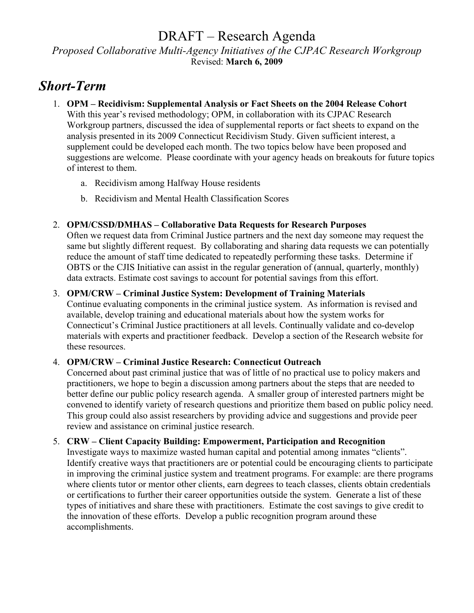### DRAFT – Research Agenda *Proposed Collaborative Multi-Agency Initiatives of the CJPAC Research Workgroup*  Revised: **March 6, 2009**

## *Short-Term*

- 1. **OPM Recidivism: Supplemental Analysis or Fact Sheets on the 2004 Release Cohort**  With this year's revised methodology; OPM, in collaboration with its CJPAC Research Workgroup partners, discussed the idea of supplemental reports or fact sheets to expand on the analysis presented in its 2009 Connecticut Recidivism Study. Given sufficient interest, a supplement could be developed each month. The two topics below have been proposed and suggestions are welcome. Please coordinate with your agency heads on breakouts for future topics of interest to them.
	- a. Recidivism among Halfway House residents
	- b. Recidivism and Mental Health Classification Scores

#### 2. **OPM/CSSD/DMHAS – Collaborative Data Requests for Research Purposes**

Often we request data from Criminal Justice partners and the next day someone may request the same but slightly different request. By collaborating and sharing data requests we can potentially reduce the amount of staff time dedicated to repeatedly performing these tasks. Determine if OBTS or the CJIS Initiative can assist in the regular generation of (annual, quarterly, monthly) data extracts. Estimate cost savings to account for potential savings from this effort.

#### 3. **OPM/CRW – Criminal Justice System: Development of Training Materials**

Continue evaluating components in the criminal justice system. As information is revised and available, develop training and educational materials about how the system works for Connecticut's Criminal Justice practitioners at all levels. Continually validate and co-develop materials with experts and practitioner feedback. Develop a section of the Research website for these resources.

#### 4. **OPM/CRW – Criminal Justice Research: Connecticut Outreach**

Concerned about past criminal justice that was of little of no practical use to policy makers and practitioners, we hope to begin a discussion among partners about the steps that are needed to better define our public policy research agenda. A smaller group of interested partners might be convened to identify variety of research questions and prioritize them based on public policy need. This group could also assist researchers by providing advice and suggestions and provide peer review and assistance on criminal justice research.

#### 5. **CRW – Client Capacity Building: Empowerment, Participation and Recognition**

Investigate ways to maximize wasted human capital and potential among inmates "clients". Identify creative ways that practitioners are or potential could be encouraging clients to participate in improving the criminal justice system and treatment programs. For example: are there programs where clients tutor or mentor other clients, earn degrees to teach classes, clients obtain credentials or certifications to further their career opportunities outside the system. Generate a list of these types of initiatives and share these with practitioners. Estimate the cost savings to give credit to the innovation of these efforts. Develop a public recognition program around these accomplishments.